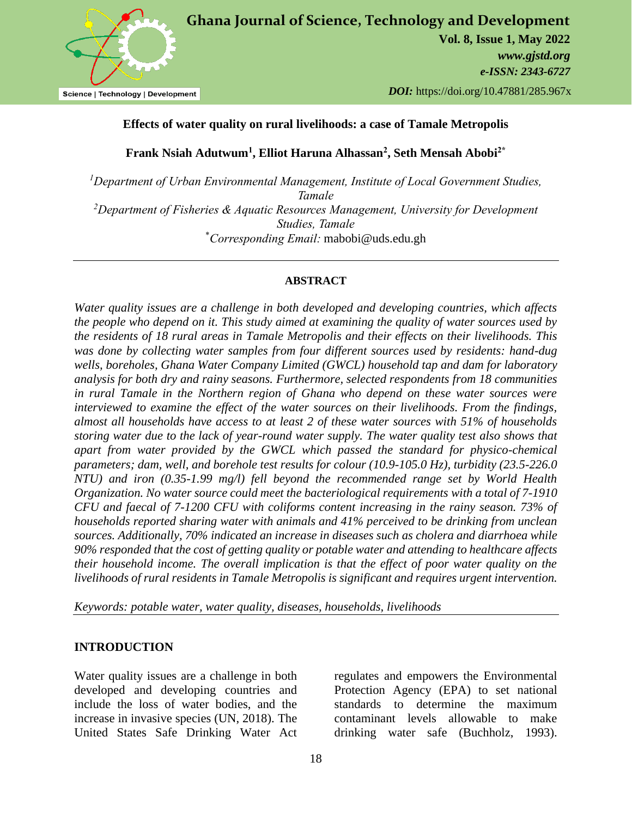

# **Effects of water quality on rural livelihoods: a case of Tamale Metropolis**

**Frank Nsiah Adutwum<sup>1</sup> , Elliot Haruna Alhassan<sup>2</sup> , Seth Mensah Abobi2\***

*<sup>1</sup>Department of Urban Environmental Management, Institute of Local Government Studies, Tamale <sup>2</sup>Department of Fisheries & Aquatic Resources Management, University for Development Studies, Tamale* \**Corresponding Email:* mabobi@uds.edu.gh

# **ABSTRACT**

*Water quality issues are a challenge in both developed and developing countries, which affects the people who depend on it. This study aimed at examining the quality of water sources used by the residents of 18 rural areas in Tamale Metropolis and their effects on their livelihoods. This was done by collecting water samples from four different sources used by residents: hand-dug wells, boreholes, Ghana Water Company Limited (GWCL) household tap and dam for laboratory analysis for both dry and rainy seasons. Furthermore, selected respondents from 18 communities in rural Tamale in the Northern region of Ghana who depend on these water sources were interviewed to examine the effect of the water sources on their livelihoods. From the findings, almost all households have access to at least 2 of these water sources with 51% of households storing water due to the lack of year-round water supply. The water quality test also shows that apart from water provided by the GWCL which passed the standard for physico-chemical parameters; dam, well, and borehole test results for colour (10.9-105.0 Hz), turbidity (23.5-226.0 NTU) and iron (0.35-1.99 mg/l) fell beyond the recommended range set by World Health Organization. No water source could meet the bacteriological requirements with a total of 7-1910 CFU and faecal of 7-1200 CFU with coliforms content increasing in the rainy season. 73% of households reported sharing water with animals and 41% perceived to be drinking from unclean sources. Additionally, 70% indicated an increase in diseases such as cholera and diarrhoea while 90% responded that the cost of getting quality or potable water and attending to healthcare affects their household income. The overall implication is that the effect of poor water quality on the livelihoods of rural residents in Tamale Metropolis is significant and requires urgent intervention.*

*Keywords: potable water, water quality, diseases, households, livelihoods*

# **INTRODUCTION**

Water quality issues are a challenge in both developed and developing countries and include the loss of water bodies, and the increase in invasive species (UN, 2018). The United States Safe Drinking Water Act

regulates and empowers the Environmental Protection Agency (EPA) to set national standards to determine the maximum contaminant levels allowable to make drinking water safe (Buchholz, 1993).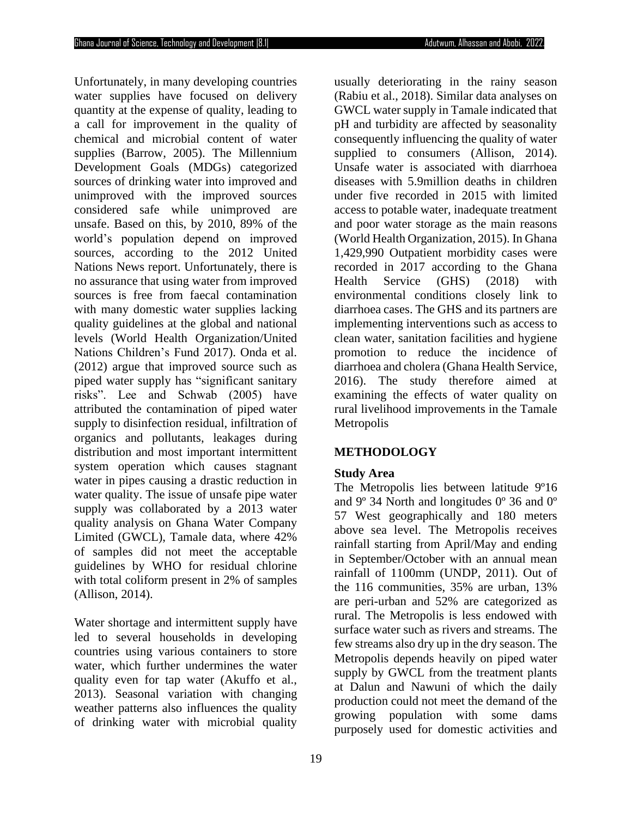Unfortunately, in many developing countries water supplies have focused on delivery quantity at the expense of quality, leading to a call for improvement in the quality of chemical and microbial content of water supplies (Barrow, 2005). The Millennium Development Goals (MDGs) categorized sources of drinking water into improved and unimproved with the improved sources considered safe while unimproved are unsafe. Based on this, by 2010, 89% of the world's population depend on improved sources, according to the 2012 United Nations News report. Unfortunately, there is no assurance that using water from improved sources is free from faecal contamination with many domestic water supplies lacking quality guidelines at the global and national levels (World Health Organization/United Nations Children's Fund 2017). Onda et al. (2012) argue that improved source such as piped water supply has "significant sanitary risks". Lee and Schwab (2005) have attributed the contamination of piped water supply to disinfection residual, infiltration of organics and pollutants, leakages during distribution and most important intermittent system operation which causes stagnant water in pipes causing a drastic reduction in water quality. The issue of unsafe pipe water supply was collaborated by a 2013 water quality analysis on Ghana Water Company Limited (GWCL), Tamale data, where 42% of samples did not meet the acceptable guidelines by WHO for residual chlorine with total coliform present in 2% of samples (Allison, 2014).

Water shortage and intermittent supply have led to several households in developing countries using various containers to store water, which further undermines the water quality even for tap water (Akuffo et al., 2013). Seasonal variation with changing weather patterns also influences the quality of drinking water with microbial quality

(Rabiu et al., 2018). Similar data analyses on GWCL water supply in Tamale indicated that pH and turbidity are affected by seasonality consequently influencing the quality of water supplied to consumers (Allison, 2014). Unsafe water is associated with diarrhoea diseases with 5.9million deaths in children under five recorded in 2015 with limited access to potable water, inadequate treatment and poor water storage as the main reasons (World Health Organization, 2015). In Ghana 1,429,990 Outpatient morbidity cases were recorded in 2017 according to the Ghana Health Service (GHS) (2018) with environmental conditions closely link to diarrhoea cases. The GHS and its partners are implementing interventions such as access to clean water, sanitation facilities and hygiene promotion to reduce the incidence of diarrhoea and cholera (Ghana Health Service, 2016). The study therefore aimed at examining the effects of water quality on rural livelihood improvements in the Tamale **Metropolis METHODOLOGY**

usually deteriorating in the rainy season

# **Study Area**

The Metropolis lies between latitude 9°16 and 9º 34 North and longitudes 0º 36 and 0º 57 West geographically and 180 meters above sea level. The Metropolis receives rainfall starting from April/May and ending in September/October with an annual mean rainfall of 1100mm (UNDP, 2011). Out of the 116 communities, 35% are urban, 13% are peri-urban and 52% are categorized as rural. The Metropolis is less endowed with surface water such as rivers and streams. The few streams also dry up in the dry season. The Metropolis depends heavily on piped water supply by GWCL from the treatment plants at Dalun and Nawuni of which the daily production could not meet the demand of the growing population with some dams purposely used for domestic activities and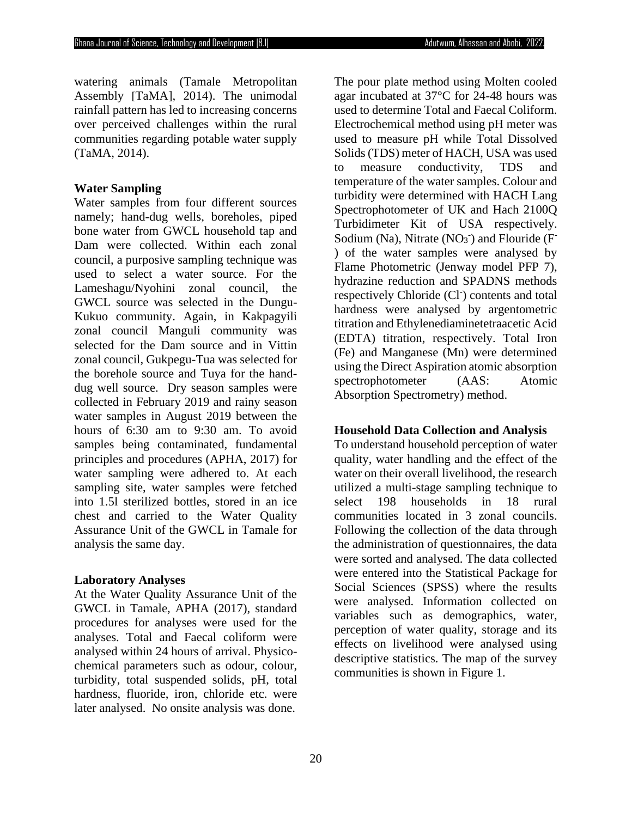watering animals (Tamale Metropolitan Assembly [TaMA], 2014). The unimodal rainfall pattern has led to increasing concerns over perceived challenges within the rural communities regarding potable water supply (TaMA, 2014).

# **Water Sampling**

Water samples from four different sources namely; hand-dug wells, boreholes, piped bone water from GWCL household tap and Dam were collected. Within each zonal council, a purposive sampling technique was used to select a water source. For the Lameshagu/Nyohini zonal council, the GWCL source was selected in the Dungu-Kukuo community. Again, in Kakpagyili zonal council Manguli community was selected for the Dam source and in Vittin zonal council, Gukpegu-Tua was selected for the borehole source and Tuya for the handdug well source. Dry season samples were collected in February 2019 and rainy season water samples in August 2019 between the hours of 6:30 am to 9:30 am. To avoid samples being contaminated, fundamental principles and procedures (APHA, 2017) for water sampling were adhered to. At each sampling site, water samples were fetched into 1.5l sterilized bottles, stored in an ice chest and carried to the Water Quality Assurance Unit of the GWCL in Tamale for analysis the same day.

# **Laboratory Analyses**

At the Water Quality Assurance Unit of the GWCL in Tamale, APHA (2017), standard procedures for analyses were used for the analyses. Total and Faecal coliform were analysed within 24 hours of arrival. Physicochemical parameters such as odour, colour, turbidity, total suspended solids, pH, total hardness, fluoride, iron, chloride etc. were later analysed. No onsite analysis was done.

The pour plate method using Molten cooled agar incubated at 37°C for 24-48 hours was used to determine Total and Faecal Coliform. Electrochemical method using pH meter was used to measure pH while Total Dissolved Solids (TDS) meter of HACH, USA was used to measure conductivity, TDS and temperature of the water samples. Colour and turbidity were determined with HACH Lang Spectrophotometer of UK and Hach 2100Q Turbidimeter Kit of USA respectively. Sodium (Na), Nitrate  $(NO<sub>3</sub>)$  and Flouride (F ) of the water samples were analysed by Flame Photometric (Jenway model PFP 7), hydrazine reduction and SPADNS methods respectively Chloride (Cl<sup>-</sup>) contents and total hardness were analysed by argentometric titration and Ethylenediaminetetraacetic Acid (EDTA) titration, respectively. Total Iron (Fe) and Manganese (Mn) were determined using the Direct Aspiration atomic absorption spectrophotometer (AAS: Atomic Absorption Spectrometry) method.

# **Household Data Collection and Analysis**

To understand household perception of water quality, water handling and the effect of the water on their overall livelihood, the research utilized a multi-stage sampling technique to select 198 households in 18 rural communities located in 3 zonal councils. Following the collection of the data through the administration of questionnaires, the data were sorted and analysed. The data collected were entered into the Statistical Package for Social Sciences (SPSS) where the results were analysed. Information collected on variables such as demographics, water, perception of water quality, storage and its effects on livelihood were analysed using descriptive statistics. The map of the survey communities is shown in Figure 1.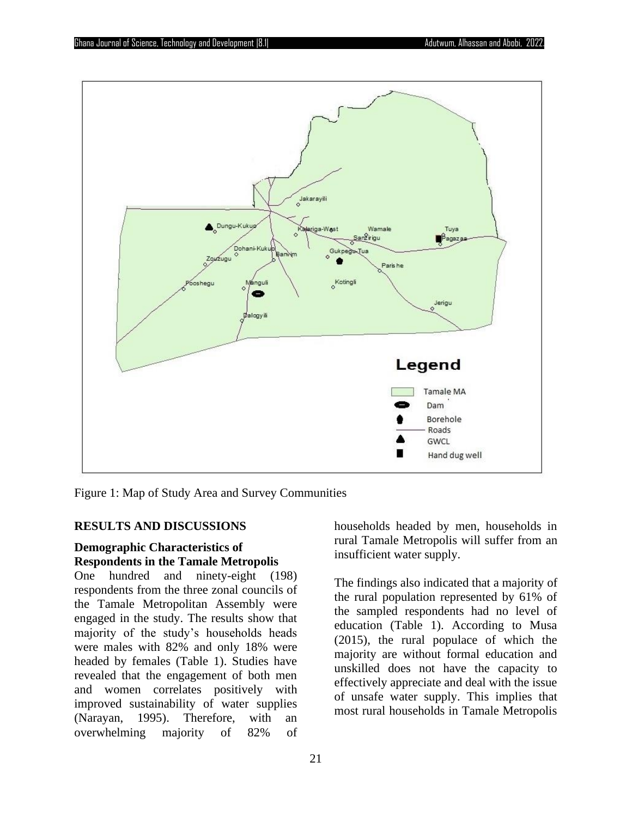

Figure 1: Map of Study Area and Survey Communities

#### **RESULTS AND DISCUSSIONS**

# **Demographic Characteristics of Respondents in the Tamale Metropolis**

One hundred and ninety-eight (198) respondents from the three zonal councils of the Tamale Metropolitan Assembly were engaged in the study. The results show that majority of the study's households heads were males with 82% and only 18% were headed by females (Table 1). Studies have revealed that the engagement of both men and women correlates positively with improved sustainability of water supplies (Narayan, 1995). Therefore, with an overwhelming majority of 82% of

households headed by men, households in rural Tamale Metropolis will suffer from an insufficient water supply.

The findings also indicated that a majority of the rural population represented by 61% of the sampled respondents had no level of education (Table 1). According to Musa (2015), the rural populace of which the majority are without formal education and unskilled does not have the capacity to effectively appreciate and deal with the issue of unsafe water supply. This implies that most rural households in Tamale Metropolis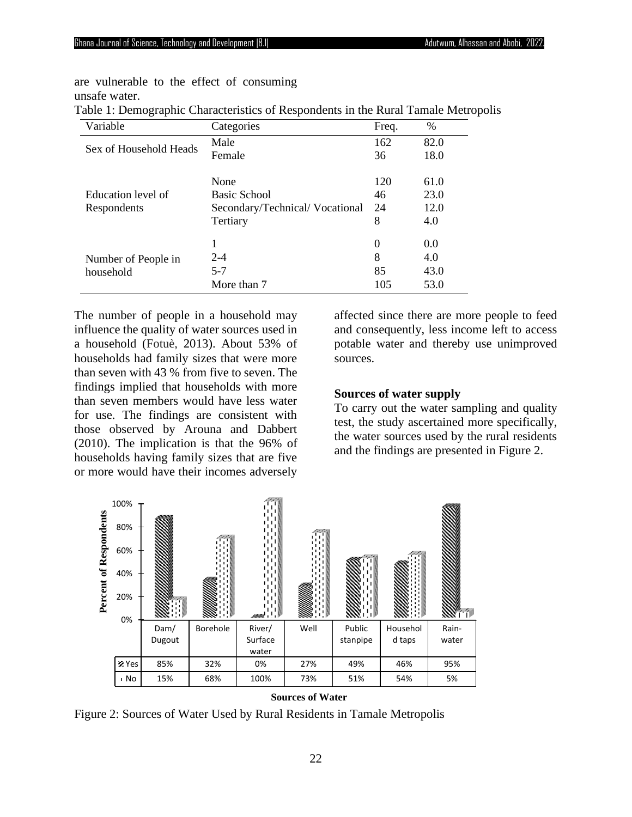are vulnerable to the effect of consuming unsafe water.

| Table 1: Demographic Characteristics of Respondents in the Rural Tamale Metropolis |  |  |
|------------------------------------------------------------------------------------|--|--|
|                                                                                    |  |  |

| Variable               | Categories                     | Freq. | %    |
|------------------------|--------------------------------|-------|------|
| Sex of Household Heads | Male                           | 162   | 82.0 |
|                        | Female                         | 36    | 18.0 |
|                        |                                |       |      |
|                        | None                           | 120   | 61.0 |
| Education level of     | Basic School                   | 46    | 23.0 |
| Respondents            | Secondary/Technical/Vocational | 24    | 12.0 |
|                        | Tertiary                       | 8     | 4.0  |
|                        | 1                              | 0     | 0.0  |
|                        |                                |       |      |
| Number of People in    | $2 - 4$                        | 8     | 4.0  |
| household              | $5 - 7$                        | 85    | 43.0 |
|                        | More than 7                    | 105   | 53.0 |

The number of people in a household may influence the quality of water sources used in a household (Fotuè, 2013). About 53% of households had family sizes that were more than seven with 43 % from five to seven. The findings implied that households with more than seven members would have less water for use. The findings are consistent with those observed by Arouna and Dabbert (2010). The implication is that the 96% of households having family sizes that are five or more would have their incomes adversely

affected since there are more people to feed and consequently, less income left to access potable water and thereby use unimproved sources.

#### **Sources of water supply**

To carry out the water sampling and quality test, the study ascertained more specifically, the water sources used by the rural residents and the findings are presented in Figure 2.



**Sources of Water**

Figure 2: Sources of Water Used by Rural Residents in Tamale Metropolis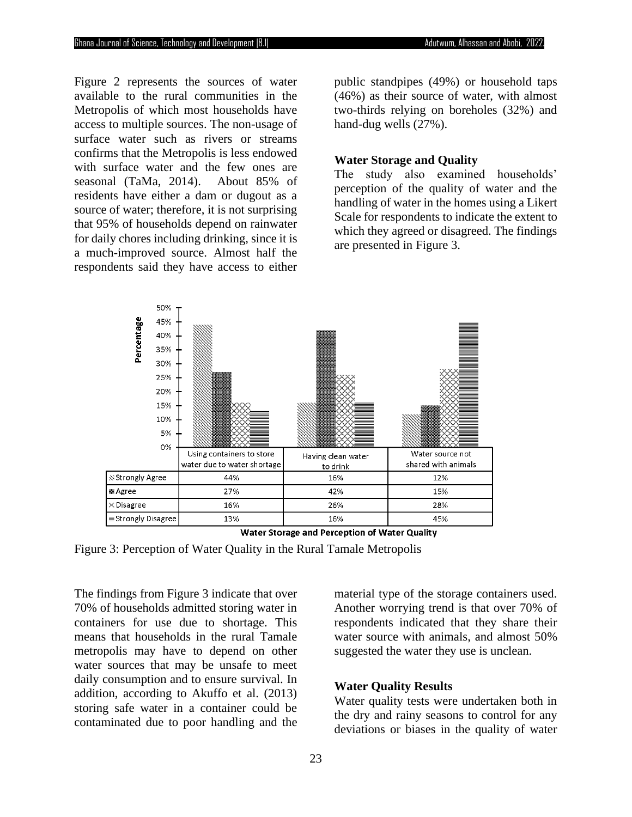Figure 2 represents the sources of water available to the rural communities in the Metropolis of which most households have access to multiple sources. The non-usage of surface water such as rivers or streams confirms that the Metropolis is less endowed with surface water and the few ones are seasonal (TaMa, 2014). About 85% of residents have either a dam or dugout as a source of water; therefore, it is not surprising that 95% of households depend on rainwater for daily chores including drinking, since it is a much-improved source. Almost half the respondents said they have access to either

public standpipes (49%) or household taps (46%) as their source of water, with almost two-thirds relying on boreholes (32%) and hand-dug wells (27%).

### **Water Storage and Quality**

The study also examined households' perception of the quality of water and the handling of water in the homes using a Likert Scale for respondents to indicate the extent to which they agreed or disagreed. The findings are presented in Figure 3.



Water Storage and Perception of Water Quality

Figure 3: Perception of Water Quality in the Rural Tamale Metropolis

The findings from Figure 3 indicate that over 70% of households admitted storing water in containers for use due to shortage. This means that households in the rural Tamale metropolis may have to depend on other water sources that may be unsafe to meet daily consumption and to ensure survival. In addition, according to Akuffo et al. (2013) storing safe water in a container could be contaminated due to poor handling and the

material type of the storage containers used. Another worrying trend is that over 70% of respondents indicated that they share their water source with animals, and almost 50% suggested the water they use is unclean.

# **Water Quality Results**

Water quality tests were undertaken both in the dry and rainy seasons to control for any deviations or biases in the quality of water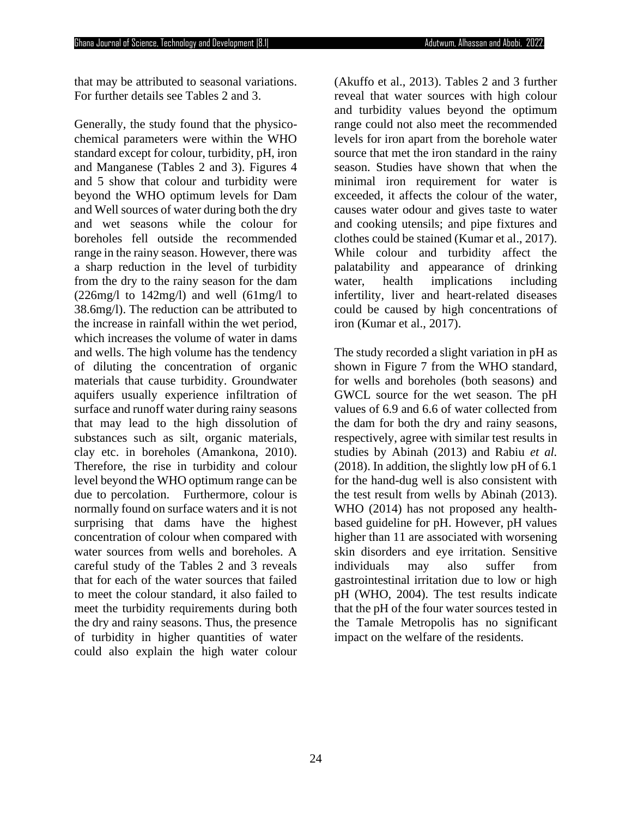that may be attributed to seasonal variations. For further details see Tables 2 and 3.

Generally, the study found that the physicochemical parameters were within the WHO standard except for colour, turbidity, pH, iron and Manganese (Tables 2 and 3). Figures 4 and 5 show that colour and turbidity were beyond the WHO optimum levels for Dam and Well sources of water during both the dry and wet seasons while the colour for boreholes fell outside the recommended range in the rainy season. However, there was a sharp reduction in the level of turbidity from the dry to the rainy season for the dam  $(226mg/l \text{ to } 142mg/l)$  and well  $(61mg/l \text{ to } 142mg/l)$ 38.6mg/l). The reduction can be attributed to the increase in rainfall within the wet period, which increases the volume of water in dams and wells. The high volume has the tendency of diluting the concentration of organic materials that cause turbidity. Groundwater aquifers usually experience infiltration of surface and runoff water during rainy seasons that may lead to the high dissolution of substances such as silt, organic materials, clay etc. in boreholes (Amankona, 2010). Therefore, the rise in turbidity and colour level beyond the WHO optimum range can be due to percolation. Furthermore, colour is normally found on surface waters and it is not surprising that dams have the highest concentration of colour when compared with water sources from wells and boreholes. A careful study of the Tables 2 and 3 reveals that for each of the water sources that failed to meet the colour standard, it also failed to meet the turbidity requirements during both the dry and rainy seasons. Thus, the presence of turbidity in higher quantities of water could also explain the high water colour

(Akuffo et al., 2013). Tables 2 and 3 further reveal that water sources with high colour and turbidity values beyond the optimum range could not also meet the recommended levels for iron apart from the borehole water source that met the iron standard in the rainy season. Studies have shown that when the minimal iron requirement for water is exceeded, it affects the colour of the water, causes water odour and gives taste to water and cooking utensils; and pipe fixtures and clothes could be stained (Kumar et al., 2017). While colour and turbidity affect the palatability and appearance of drinking water, health implications including infertility, liver and heart-related diseases could be caused by high concentrations of iron (Kumar et al., 2017).

The study recorded a slight variation in pH as shown in Figure 7 from the WHO standard, for wells and boreholes (both seasons) and GWCL source for the wet season. The pH values of 6.9 and 6.6 of water collected from the dam for both the dry and rainy seasons, respectively, agree with similar test results in studies by Abinah (2013) and Rabiu *et al.* (2018). In addition, the slightly low pH of 6.1 for the hand-dug well is also consistent with the test result from wells by Abinah (2013). WHO (2014) has not proposed any healthbased guideline for pH. However, pH values higher than 11 are associated with worsening skin disorders and eye irritation. Sensitive individuals may also suffer from gastrointestinal irritation due to low or high pH (WHO, 2004). The test results indicate that the pH of the four water sources tested in the Tamale Metropolis has no significant impact on the welfare of the residents.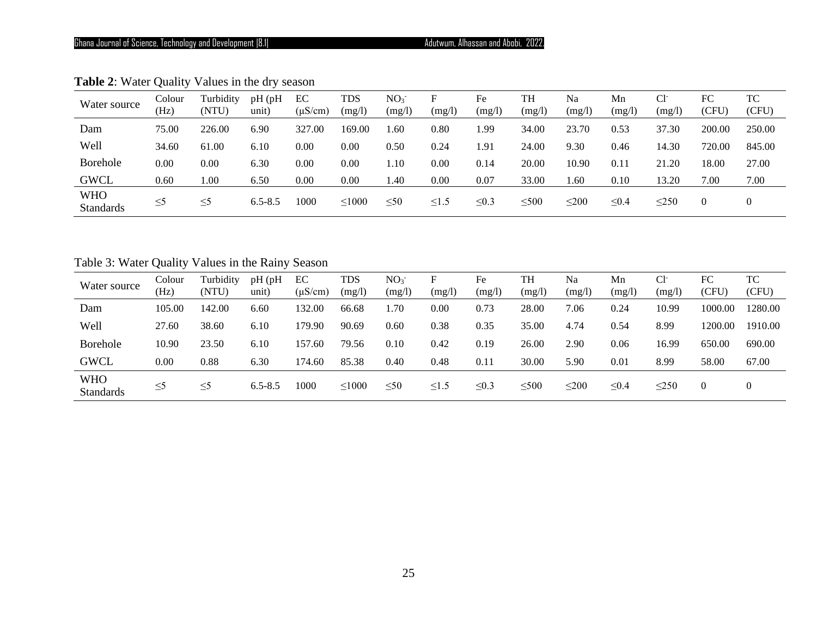# Ghana Journal of Science, Technology and Development |8.1| **Adutwum, Alhassan and Abobi, 2022.**

| Water source                   | Colour<br>(Hz) | Turbidity<br>(NTU) | pH(pH)<br>unit) | EС<br>$(\mu S/cm)$ | TDS<br>(mg/l) | NO <sub>3</sub><br>(mg/l) | F<br>(mg/l) | Fe<br>(mg/l) | <b>TH</b><br>(mg/l) | Na<br>(mg/l) | Mn<br>(mg/l) | $Cl-$<br>(mg/I) | FC<br>(CFU) | TC<br>(CFU) |
|--------------------------------|----------------|--------------------|-----------------|--------------------|---------------|---------------------------|-------------|--------------|---------------------|--------------|--------------|-----------------|-------------|-------------|
| Dam                            | 75.00          | 226.00             | 6.90            | 327.00             | 169.00        | .60                       | 0.80        | . 99         | 34.00               | 23.70        | 0.53         | 37.30           | 200.00      | 250.00      |
| Well                           | 34.60          | 61.00              | 6.10            | 0.00               | $0.00\,$      | 0.50                      | 0.24        | 1.91         | 24.00               | 9.30         | 0.46         | 14.30           | 720.00      | 845.00      |
| Borehole                       | 0.00           | 0.00               | 6.30            | 0.00               | 0.00          | 1.10                      | 0.00        | 0.14         | 20.00               | 10.90        | 0.11         | 21.20           | 18.00       | 27.00       |
| <b>GWCL</b>                    | 0.60           | $1.00\,$           | 6.50            | 0.00               | 0.00          | 1.40                      | 0.00        | 0.07         | 33.00               | 1.60         | 0.10         | 13.20           | 7.00        | 7.00        |
| <b>WHO</b><br><b>Standards</b> | $\leq 5$       | $\leq$ 5           | $6.5 - 8.5$     | 1000               | $\leq 1000$   | $\leq 50$                 | $\leq1.5$   | $\leq 0.3$   | $\leq 500$          | $\leq 200$   | $\leq 0.4$   | $\leq$ 250      | $\theta$    |             |

**Table 2**: Water Quality Values in the dry season

Table 3: Water Quality Values in the Rainy Season

| Water source                   | Colour<br>(Hz) | Turbidity<br>(NTU) | pH (pH<br>unit) | EC<br>$(\mu S/cm)$ | <b>TDS</b><br>(mg/l) | NO <sub>3</sub><br>(mg/l) | E.<br>(mg/l) | Fe<br>(mg/l) | TH<br>(mg/l) | Na<br>(mg/l) | Mn<br>(mg/l) | $Cl-$<br>(mg/l) | FC<br>(CFU)    | TC<br>(CFU) |
|--------------------------------|----------------|--------------------|-----------------|--------------------|----------------------|---------------------------|--------------|--------------|--------------|--------------|--------------|-----------------|----------------|-------------|
| Dam                            | 105.00         | 142.00             | 6.60            | 132.00             | 66.68                | 1.70                      | 0.00         | 0.73         | 28.00        | 7.06         | 0.24         | 10.99           | 1000.00        | 1280.00     |
| Well                           | 27.60          | 38.60              | 6.10            | 179.90             | 90.69                | 0.60                      | 0.38         | 0.35         | 35.00        | 4.74         | 0.54         | 8.99            | 1200.00        | 1910.00     |
| Borehole                       | 10.90          | 23.50              | 6.10            | 157.60             | 79.56                | 0.10                      | 0.42         | 0.19         | 26.00        | 2.90         | 0.06         | 16.99           | 650.00         | 690.00      |
| <b>GWCL</b>                    | 0.00           | 0.88               | 6.30            | 174.60             | 85.38                | 0.40                      | 0.48         | 0.11         | 30.00        | 5.90         | 0.01         | 8.99            | 58.00          | 67.00       |
| <b>WHO</b><br><b>Standards</b> | $\leq 5$       | $\leq$ 5           | $6.5 - 8.5$     | 1000               | $\leq 1000$          | $\leq 50$                 | $\leq1.5$    | $\leq 0.3$   | $\leq 500$   | $\leq 200$   | $\leq 0.4$   | $\leq$ 250      | $\overline{0}$ |             |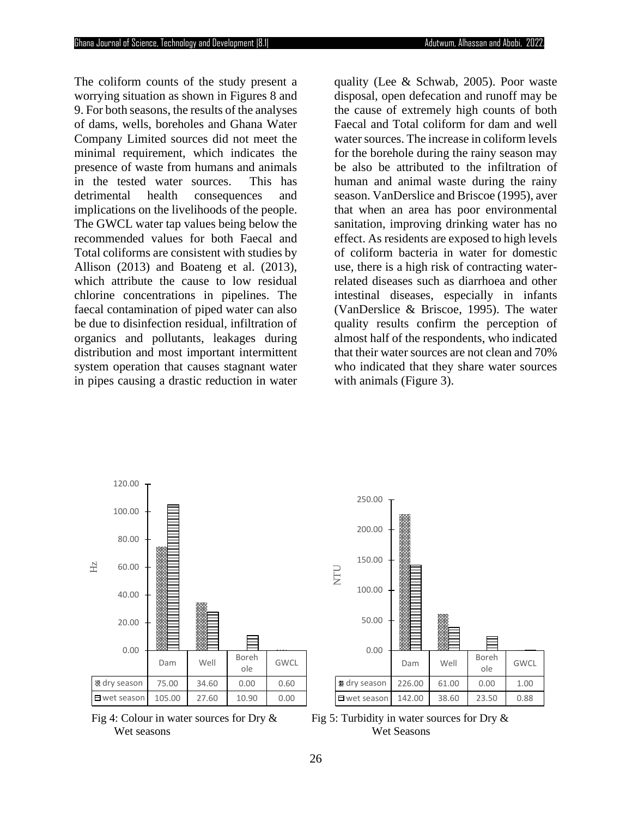The coliform counts of the study present a worrying situation as shown in Figures 8 and 9. For both seasons, the results of the analyses of dams, wells, boreholes and Ghana Water Company Limited sources did not meet the minimal requirement, which indicates the presence of waste from humans and animals in the tested water sources. This has detrimental health consequences and implications on the livelihoods of the people. The GWCL water tap values being below the recommended values for both Faecal and Total coliforms are consistent with studies by Allison (2013) and Boateng et al. (2013), which attribute the cause to low residual chlorine concentrations in pipelines. The faecal contamination of piped water can also be due to disinfection residual, infiltration of organics and pollutants, leakages during distribution and most important intermittent system operation that causes stagnant water in pipes causing a drastic reduction in water

quality (Lee & Schwab, 2005). Poor waste disposal, open defecation and runoff may be the cause of extremely high counts of both Faecal and Total coliform for dam and well water sources. The increase in coliform levels for the borehole during the rainy season may be also be attributed to the infiltration of human and animal waste during the rainy season. VanDerslice and Briscoe (1995), aver that when an area has poor environmental sanitation, improving drinking water has no effect. As residents are exposed to high levels of coliform bacteria in water for domestic use, there is a high risk of contracting waterrelated diseases such as diarrhoea and other intestinal diseases, especially in infants (VanDerslice & Briscoe, 1995). The water quality results confirm the perception of almost half of the respondents, who indicated that their water sources are not clean and 70% who indicated that they share water sources with animals (Figure 3).



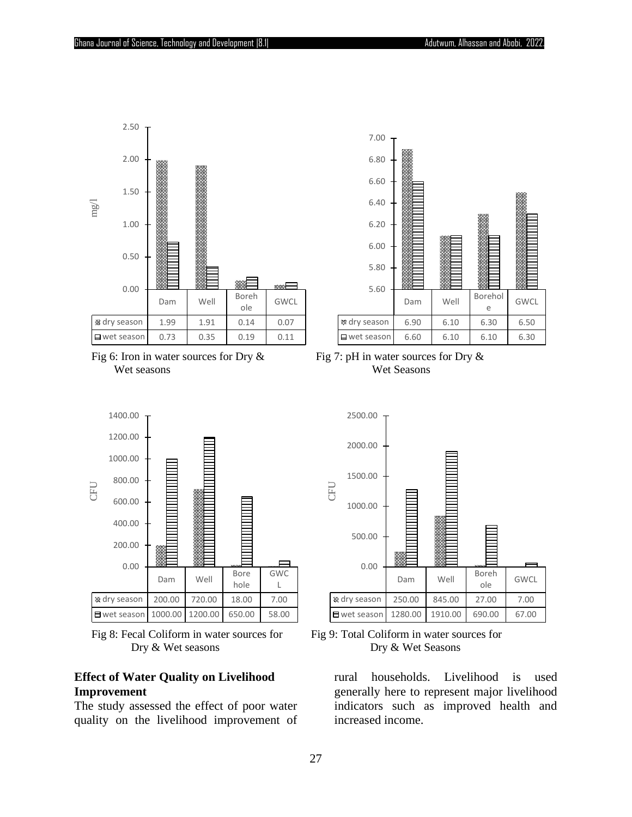



Fig 6: Iron in water sources for Dry  $\&$  Fig 7: pH in water sources for Dry  $\&$ Wet seasons Wet Seasons







### **Effect of Water Quality on Livelihood Improvement**

The study assessed the effect of poor water quality on the livelihood improvement of



Fig 8: Fecal Coliform in water sources for Fig 9: Total Coliform in water sources for

rural households. Livelihood is used generally here to represent major livelihood indicators such as improved health and increased income.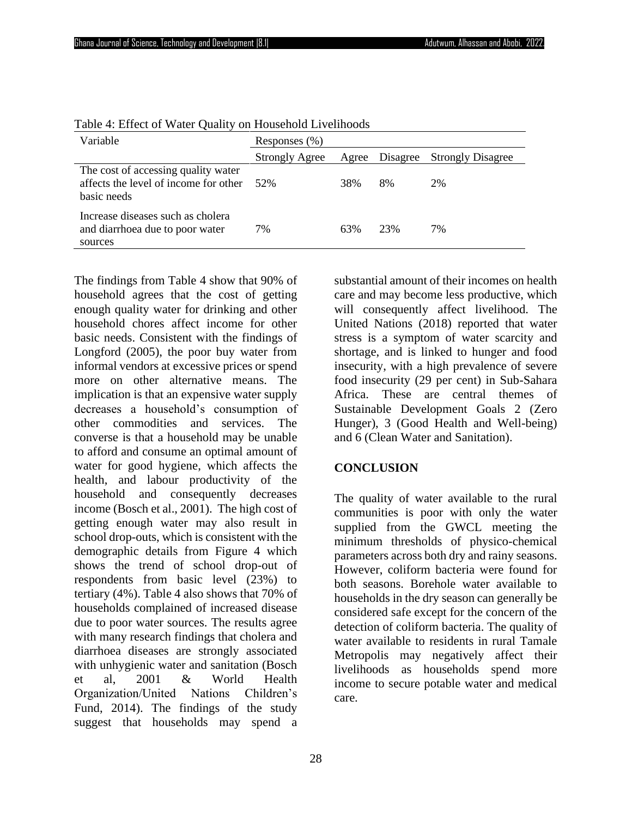| Variable                                                                                    | Responses (%)         |       |          |                          |  |  |  |  |  |
|---------------------------------------------------------------------------------------------|-----------------------|-------|----------|--------------------------|--|--|--|--|--|
|                                                                                             | <b>Strongly Agree</b> | Agree | Disagree | <b>Strongly Disagree</b> |  |  |  |  |  |
| The cost of accessing quality water<br>affects the level of income for other<br>basic needs | 52%                   | 38%   | 8%       | <b>2%</b>                |  |  |  |  |  |
| Increase diseases such as cholera<br>and diarrhoea due to poor water<br>sources             | 7%                    | 63%   | 23%      | 7%                       |  |  |  |  |  |

Table 4: Effect of Water Quality on Household Livelihoods

The findings from Table 4 show that 90% of household agrees that the cost of getting enough quality water for drinking and other household chores affect income for other basic needs. Consistent with the findings of Longford (2005), the poor buy water from informal vendors at excessive prices or spend more on other alternative means. The implication is that an expensive water supply decreases a household's consumption of other commodities and services. The converse is that a household may be unable to afford and consume an optimal amount of water for good hygiene, which affects the health, and labour productivity of the household and consequently decreases income (Bosch et al., 2001). The high cost of getting enough water may also result in school drop-outs, which is consistent with the demographic details from Figure 4 which shows the trend of school drop-out of respondents from basic level (23%) to tertiary (4%). Table 4 also shows that 70% of households complained of increased disease due to poor water sources. The results agree with many research findings that cholera and diarrhoea diseases are strongly associated with unhygienic water and sanitation (Bosch et al, 2001 & World Health Organization/United Nations Children's Fund, 2014). The findings of the study suggest that households may spend a

substantial amount of their incomes on health care and may become less productive, which will consequently affect livelihood. The United Nations (2018) reported that water stress is a symptom of water scarcity and shortage, and is linked to hunger and food insecurity, with a high prevalence of severe food insecurity (29 per cent) in Sub-Sahara Africa. These are central themes of Sustainable Development Goals 2 (Zero Hunger), 3 (Good Health and Well-being) and 6 (Clean Water and Sanitation).

# **CONCLUSION**

The quality of water available to the rural communities is poor with only the water supplied from the GWCL meeting the minimum thresholds of physico-chemical parameters across both dry and rainy seasons. However, coliform bacteria were found for both seasons. Borehole water available to households in the dry season can generally be considered safe except for the concern of the detection of coliform bacteria. The quality of water available to residents in rural Tamale Metropolis may negatively affect their livelihoods as households spend more income to secure potable water and medical care.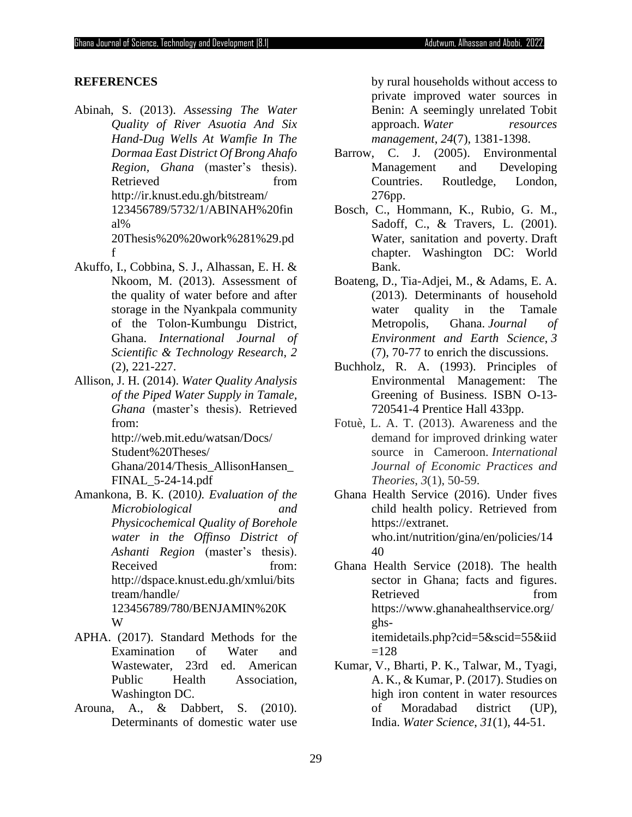#### **REFERENCES**

f

- Abinah, S. (2013). *Assessing The Water Quality of River Asuotia And Six Hand-Dug Wells At Wamfie In The Dormaa East District Of Brong Ahafo Region, Ghana* (master's thesis). Retrieved from http://ir.knust.edu.gh/bitstream/ 123456789/5732/1/ABINAH%20fin al% 20Thesis%20%20work%281%29.pd
- Akuffo, I., Cobbina, S. J., Alhassan, E. H. & Nkoom, M. (2013). Assessment of the quality of water before and after storage in the Nyankpala community of the Tolon-Kumbungu District, Ghana. *International Journal of Scientific & Technology Research*, *2* (2), 221-227.
- Allison, J. H. (2014). *Water Quality Analysis of the Piped Water Supply in Tamale, Ghana* (master's thesis). Retrieved from:

[http://web.mit.edu/watsan/Docs/](http://web.mit.edu/watsan/Docs/%20Student%20Theses/)  [Student%20Theses/](http://web.mit.edu/watsan/Docs/%20Student%20Theses/)

Ghana/2014/Thesis\_AllisonHansen\_ FINAL\_5-24-14.pdf

- Amankona, B. K. (2010*). Evaluation of the Microbiological and Physicochemical Quality of Borehole water in the Offinso District of Ashanti Region* (master's thesis). Received from: [http://dspace.knust.edu.gh/xmlui/bits](http://dspace.knust.edu.gh/xmlui/bitstream/handle/) [tream/handle/](http://dspace.knust.edu.gh/xmlui/bitstream/handle/) 123456789/780/BENJAMIN%20K W
- APHA. (2017). Standard Methods for the Examination of Water and Wastewater, 23rd ed. American Public Health Association, Washington DC.
- Arouna, A., & Dabbert, S. (2010). Determinants of domestic water use

by rural households without access to private improved water sources in Benin: A seemingly unrelated Tobit approach. *Water resources management*, *24*(7), 1381-1398.

- Barrow, C. J. (2005). Environmental Management and Developing Countries. Routledge, London, 276pp.
- Bosch, C., Hommann, K., Rubio, G. M., Sadoff, C., & Travers, L. (2001). Water, sanitation and poverty. Draft chapter. Washington DC: World Bank.
- Boateng, D., Tia-Adjei, M., & Adams, E. A. (2013). Determinants of household water quality in the Tamale Metropolis, Ghana. *Journal of Environment and Earth Science*, *3*  (7), 70-77 to enrich the discussions.
- Buchholz, R. A. (1993). Principles of Environmental Management: The Greening of Business. ISBN O-13- 720541-4 Prentice Hall 433pp.
- Fotuè, L. A. T. (2013). Awareness and the demand for improved drinking water source in Cameroon. *International Journal of Economic Practices and Theories*, *3*(1), 50-59.
- Ghana Health Service (2016). Under fives child health policy. Retrieved from https://extranet. who.int/nutrition/gina/en/policies/14 40
- Ghana Health Service (2018). The health sector in Ghana; facts and figures. Retrieved from https://www.ghanahealthservice.org/ ghsitemidetails.php?cid=5&scid=55&iid  $=128$
- Kumar, V., Bharti, P. K., Talwar, M., Tyagi, A. K., & Kumar, P. (2017). Studies on high iron content in water resources of Moradabad district (UP), India. *Water Science*, *31*(1), 44-51.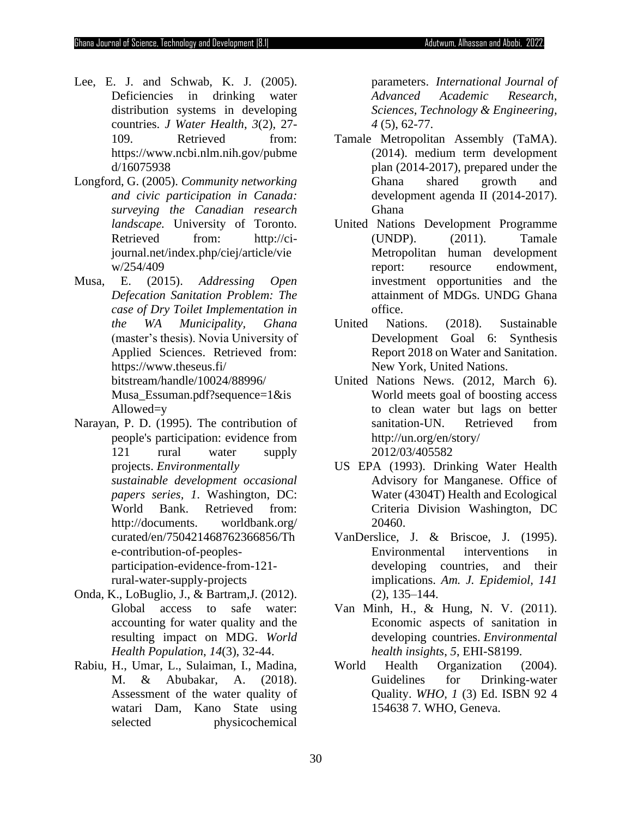- Lee, E. J. and Schwab, K. J. (2005). Deficiencies in drinking water distribution systems in developing countries. *J Water Health*, *3*(2), 27- 109. Retrieved from: https://www.ncbi.nlm.nih.gov/pubme d/16075938
- Longford, G. (2005). *Community networking and civic participation in Canada: surveying the Canadian research landscape.* University of Toronto. Retrieved from: http://cijournal.net/index.php/ciej/article/vie w/254/409
- Musa, E. (2015). *Addressing Open Defecation Sanitation Problem: The case of Dry Toilet Implementation in the WA Municipality, Ghana* (master's thesis). Novia University of Applied Sciences. Retrieved from: <https://www.theseus.fi/> bitstream/handle/10024/88996/ Musa\_Essuman.pdf?sequence=1&is Allowed=y
- Narayan, P. D. (1995). The contribution of people's participation: evidence from 121 rural water supply projects. *Environmentally sustainable development occasional papers series, 1*. Washington, DC: World Bank. Retrieved from: http://documents. worldbank.org/ curated/en/750421468762366856/Th e-contribution-of-peoplesparticipation-evidence-from-121 rural-water-supply-projects
- Onda, K., LoBuglio, J., & Bartram,J. (2012). Global access to safe water: accounting for water quality and the resulting impact on MDG. *World Health Population*, *14*(3), 32-44.
- Rabiu, H., Umar, L., Sulaiman, I., Madina, M. & Abubakar, A. (2018). Assessment of the water quality of watari Dam, Kano State using selected physicochemical

parameters. *International Journal of Advanced Academic Research, Sciences, Technology & Engineering, 4* (5), 62-77.

- Tamale Metropolitan Assembly (TaMA). (2014). medium term development plan (2014-2017), prepared under the Ghana shared growth and development agenda II (2014-2017). Ghana
- United Nations Development Programme (UNDP). (2011). Tamale Metropolitan human development report: resource endowment, investment opportunities and the attainment of MDGs. UNDG Ghana office.
- United Nations. (2018). Sustainable Development Goal 6: Synthesis Report 2018 on Water and Sanitation. New York, United Nations.
- United Nations News. (2012, March 6). World meets goal of boosting access to clean water but lags on better sanitation-UN. Retrieved from <http://un.org/en/story/> 2012/03/405582
- US EPA (1993). Drinking Water Health Advisory for Manganese. Office of Water (4304T) Health and Ecological Criteria Division Washington, DC 20460.
- VanDerslice, J. & Briscoe, J. (1995). Environmental interventions in developing countries, and their implications. *Am. J. Epidemiol, 141* (2), 135–144.
- Van Minh, H., & Hung, N. V. (2011). Economic aspects of sanitation in developing countries. *Environmental health insights*, *5*, EHI-S8199.
- World Health Organization (2004). Guidelines for Drinking-water Quality. *WHO, 1* (3) Ed. ISBN 92 4 154638 7. WHO, Geneva.